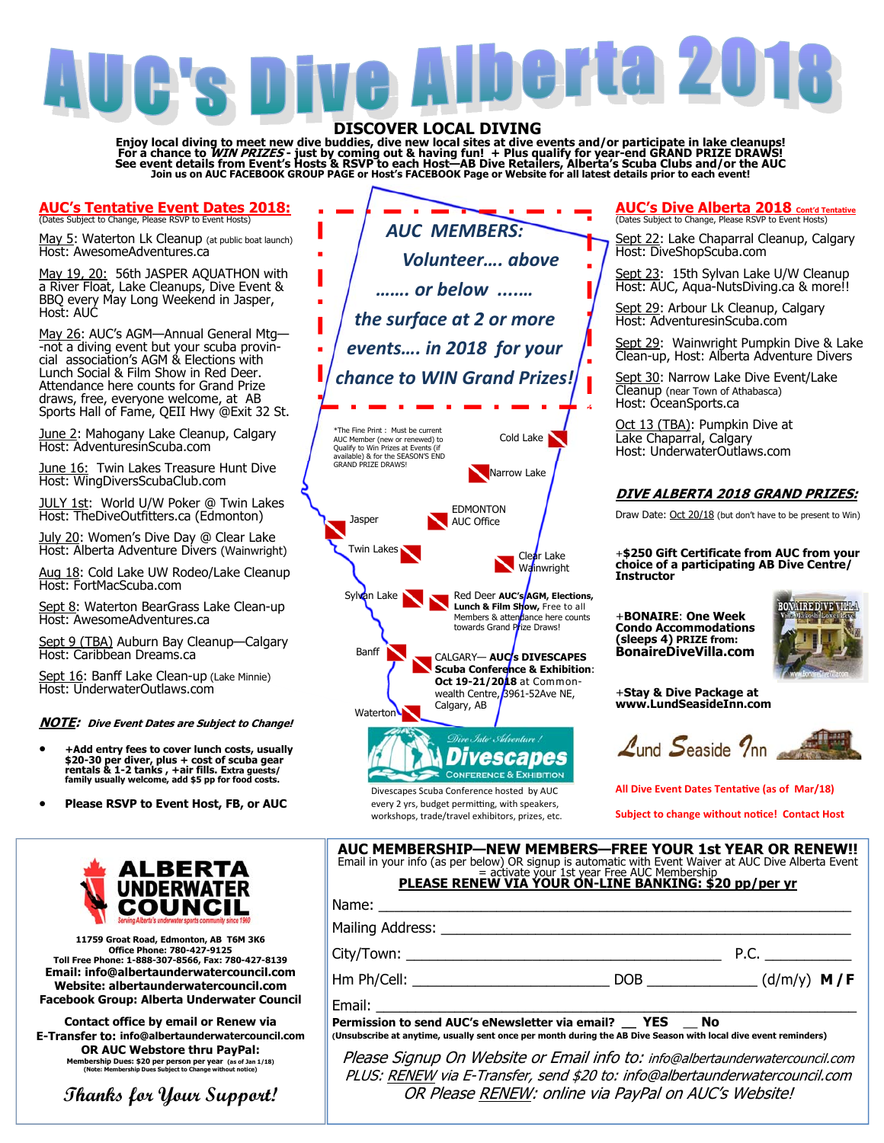# herta 201

DISCOVER LOCAL DIVING<br>Enjoy local diving to meet new dive buddies, dive new local sites at dive events and/or participate in lake cleanups!<br>For a chance to *WIN PRIZES* - just by coming out & having fun! + Plus qualify for See event details from Event's Hosts & RSVP to each Host—AB Dive Retailers, Alberta's Scuba Clubs and/or the AUC<br>Join us on AUC FACEBOOK GROUP PAGE or Host's FACEBOOK Page or Website for all latest details prior to each ev

### **AUC's Tentative Event Dates 2018:** (Dates Subject to Change, Please RSVP to Event Hosts)

May 5: Waterton Lk Cleanup (at public boat launch) Host: AwesomeAdventures.ca

May 19, 20: 56th JASPER AQUATHON with a River Float, Lake Cleanups, Dive Event & BBQ every May Long Weekend in Jasper, Host: AUC

May 26: AUC's AGM-Annual General Mtg--not a diving event but your scuba provincial association's AGM & Elections with Lunch Social & Film Show in Red Deer. Attendance here counts for Grand Prize draws, free, everyone welcome, at AB Sports Hall of Fame, QEII Hwy @Exit 32 St.

June 2: Mahogany Lake Cleanup, Calgary Host: AdventuresinScuba.com

June 16: Twin Lakes Treasure Hunt Dive Host: WingDiversScubaClub.com

JULY 1st: World U/W Poker @ Twin Lakes<br>Host: TheDiveOutfitters.ca (Edmonton)

July 20: Women's Dive Day @ Clear Lake Host: Alberta Adventure Divers (Wainwright)

Aug 18: Cold Lake UW Rodeo/Lake Cleanup Host: FortMacScuba.com

Sept 8: Waterton BearGrass Lake Clean-up Host: AwesomeAdventures.ca

Sept 9 (TBA) Auburn Bay Cleanup—Calgary<br>Host: Caribbean Dreams.ca

Sept 16: Banff Lake Clean-up (Lake Minnie) Host: UnderwaterOutlaws.com

### **NOTE: Dive Event Dates are Subject to Change!**

- **+Add entry fees to cover lunch costs, usually \$20-30 per diver, plus + cost of scuba gear rentals & 1-2 tanks , +air fills. Extra guests/ family usually welcome, add \$5 pp for food costs.**
- **Please RSVP to Event Host, FB, or AUC**



Divescapes Scuba Conference hosted by AUC every 2 yrs, budget permitting, with speakers, workshops, trade/travel exhibitors, prizes, etc.

### **AUC's Dive Alberta 2018 Cont'd Tentative** (Dates Subject to Change, Please RSVP to Event Hosts)

Sept 22: Lake Chaparral Cleanup, Calgary Host: DiveShopScuba.com

Sept 23: 15th Sylvan Lake U/W Cleanup Host: AUC, Aqua-NutsDiving.ca & more!!

Sept 29: Arbour Lk Cleanup, Calgary Host: AdventuresinScuba.com

Sept 29: Wainwright Pumpkin Dive & Lake Clean-up, Host: Alberta Adventure Divers

Sept 30: Narrow Lake Dive Event/Lake Cleanup (near Town of Athabasca) Host: OceanSports.ca

Oct 13 (TBA): Pumpkin Dive at Lake Chaparral, Calgary Host: UnderwaterOutlaws.com

### **DIVE ALBERTA 2018 GRAND PRIZES:**

Draw Date: Oct 20/18 (but don't have to be present to Win)

+**\$250 Gift Certificate from AUC from your choice of a participating AB Dive Centre/ Instructor**

+**BONAIRE**: **One Week Condo Accommodations (sleeps 4) PRIZE from: BonaireDiveVilla.com** 



+**Stay & Dive Package at www.LundSeasideInn.com** 

 $\mathcal{L}_{\text{und}}$  Seaside  $\mathcal{D}_{\text{nn}}$ 

All Dive Event Dates Tentative (as of Mar/18)

**Subject to change without notice! Contact Host** 

ALBERTA **ÚNDERWATÉR COUNCIL** 

**11759 Groat Road, Edmonton, AB T6M 3K6 Office Phone: 780-427-9125 Toll Free Phone: 1-888-307-8566, Fax: 780-427-8139 Email: info@albertaunderwatercouncil.com Website: albertaunderwatercouncil.com Facebook Group: Alberta Underwater Council** 

**Contact office by email or Renew via E-Transfer to: info@albertaunderwatercouncil.com OR AUC Webstore thru PayPal:**<br>
Membership Dues: \$20 per person per year (as of Jan 1/18)<br>
(Note: Membership Dues Subject to Change without notice)

**Thanks for Your Support!** 

| Email in your info (as per below) OR signup is automatic with Event Waiver at AUC Dive Alberta Event<br>activate your 1st year Free AUC Membership<br><b>PLEASE RENEW VIA YOUR ON-LINE BANKING: \$20 pp/per yr</b> |  |  |
|--------------------------------------------------------------------------------------------------------------------------------------------------------------------------------------------------------------------|--|--|
| Name:                                                                                                                                                                                                              |  |  |
|                                                                                                                                                                                                                    |  |  |
|                                                                                                                                                                                                                    |  |  |
|                                                                                                                                                                                                                    |  |  |
|                                                                                                                                                                                                                    |  |  |
| Permission to send AUC's eNewsletter via email? __ YES __ No<br>(Unsubscribe at anytime, usually sent once per month during the AB Dive Season with local dive event reminders)                                    |  |  |

**AUC MEMBERSHIP—NEW MEMBERS—FREE YOUR 1st YEAR OR RENEW!!** 

Please Signup On Website or Email info to: info@albertaunderwatercouncil.com PLUS: RENEW via E-Transfer, send \$20 to: info@albertaunderwatercouncil.com OR Please RENEW: online via PayPal on AUC's Website!